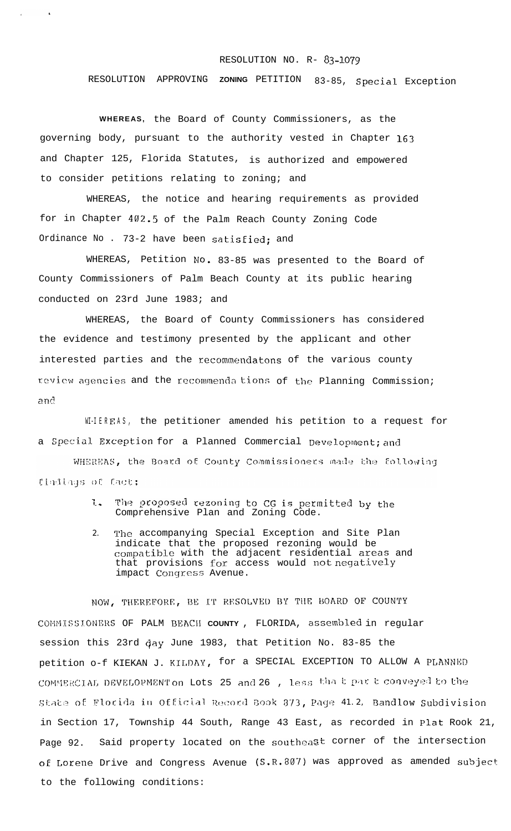## RESOLUTION NO. R- **83-107g**

RESOLUTION APPROVING **ZONING** PETITION 83-85, Special Exception

**WHEREAS,** the Board of County Commissioners, as the governing body, pursuant to the authority vested in Chapter 163 and Chapter 125, Florida Statutes, is authorized and empowered to consider petitions relating to zoning; and

 $\ddot{\phantom{1}}$ 

WHEREAS, the notice and hearing requirements as provided for in Chapter 402.5 of the Palm Reach County Zoning Code Ordinance No . 73-2 have been satisfied; and

WHEREAS, Petition No. 83-85 was presented to the Board of County Commissioners of Palm Beach County at its public hearing conducted on 23rd June 1983; and

WHEREAS, the Board of County Commissioners has considered the evidence and testimony presented by the applicant and other interested parties and the recommendatons of the various county review agencies and the recommenda tions of the Planning Commission; an?

WI-IEREAS, the petitioner amended his petition to a request for a Special Exception for a Planned Commercial Development; and WHEREAS, the Board of County Commissioners made the following findings of fact;

- 1. The proposed rezoning to CG is permitted by the Comprehensive Plan and Zoning Code.
- 2. The accompanying Special Exception and Site Plan indicate that the proposed rezoning would be compatible with the adjacent residential areas and that provisions for access would not negatively impact Congress Avenue.

NOW, THEREFORE, BE IT RESOLVED BY THE BOARD OF COUNTY COMMISSIONERS OF PALM BEACH COUNTY, FLORIDA, assembled in regular session this 23rd day June 1983, that Petition No. 83-85 the petition o-f KIEKAN J. KILDAY, for a SPECIAL EXCEPTION TO ALLOW A PLANNED COMMERCIAL DEVELOPMENT on Lots 25 and 26 , less that part conveyed to the state of Florida in Official Record Book 373, Page 41.2, Bandlow Subdivision in Section 17, Township 44 South, Range 43 East, as recorded in Plat Rook 21, Page 92. Said property located on the southeast corner of the intersection of Lorene Drive and Congress Avenue (S.R.807) was approved as amended subject to the following conditions: